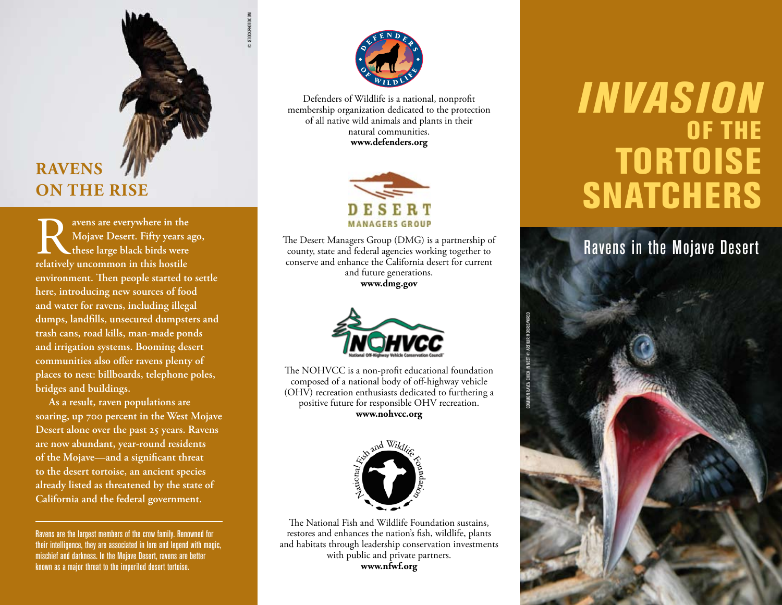# **Ravens on the Rise**

© istockphoto.com

**Ray are everywhere in the Mojave Desert. Fifty years a** these large black birds were relatively uncommon in this hostile **Mojave Desert. Fifty years ago, these large black birds were environment. Then people started to settle here, introducing new sources of food and water for ravens, including illegal dumps, landfills, unsecured dumpsters and trash cans, road kills, man-made ponds and irrigation systems. Booming desert communities also offer ravens plenty of places to nest: billboards, telephone poles, bridges and buildings.** 

**As a result, raven populations are soaring, up 700 percent in the West Mojave Desert alone over the past 25 years. Ravens are now abundant, year-round residents of the Mojave—and a significant threat to the desert tortoise, an ancient species already listed as threatened by the state of California and the federal government.**

Ravens are the largest members of the crow family. Renowned for their intelligence, they are associated in lore and legend with magic, mischief and darkness. In the Mojave Desert, ravens are better known as a major threat to the imperiled desert tortoise.



Defenders of Wildlife is a national, nonprofit membership organization dedicated to the protection of all native wild animals and plants in their natural communities. **www.defenders.org**



The Desert Managers Group (DMG) is a partnership of county, state and federal agencies working together to conserve and enhance the California desert for current and future generations. **www.dmg.gov**



The NOHVCC is a non-profit educational foundation composed of a national body of off-highway vehicle (OHV) recreation enthusiasts dedicated to furthering a positive future for responsible OHV recreation. **www.nohvcc.org**



The National Fish and Wildlife Foundation sustains, restores and enhances the nation's fish, wildlife, plants and habitats through leadership conservation investments with public and private partners. **www.nfwf.org**

# *Invasion*  of the **TORTOISE SNATCHERS**

## Ravens in the Mojave Desert